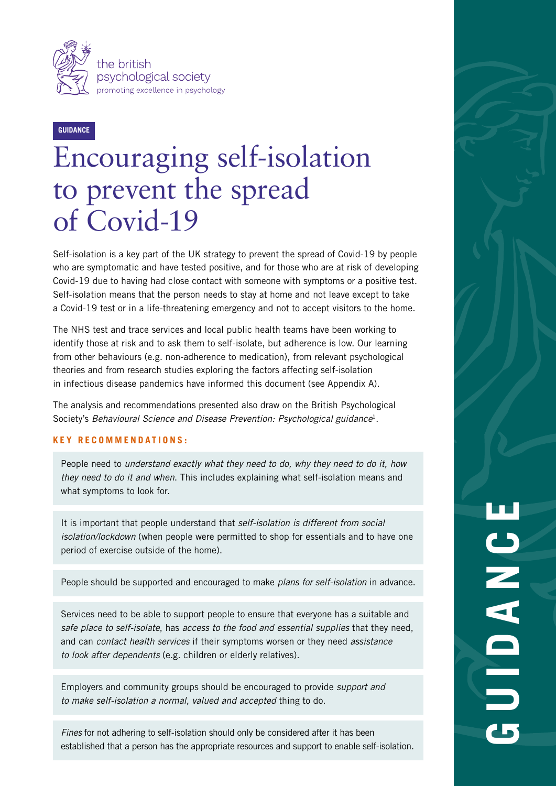

## **GUIDANCE**

# Encouraging self-isolation to prevent the spread of Covid-19

Self-isolation is a key part of the UK strategy to prevent the spread of Covid-19 by people who are symptomatic and have tested positive, and for those who are at risk of developing Covid-19 due to having had close contact with someone with symptoms or a positive test. Self-isolation means that the person needs to stay at home and not leave except to take a Covid-19 test or in a life-threatening emergency and not to accept visitors to the home.

The NHS test and trace services and local public health teams have been working to identify those at risk and to ask them to self-isolate, but adherence is low. Our learning from other behaviours (e.g. non-adherence to medication), from relevant psychological theories and from research studies exploring the factors affecting self-isolation in infectious disease pandemics have informed this document (see Appendix A).

The analysis and recommendations presented also draw on the British Psychological Society's *Behavioural Science and Disease Prevention: Psychological guidance*1.

#### **KEY RECOMMENDATIONS:**

People need to *understand exactly what they need to do, why they need to do it, how they need to do it and when*. This includes explaining what self-isolation means and what symptoms to look for.

It is important that people understand that *self-isolation is different from social isolation/lockdown* (when people were permitted to shop for essentials and to have one period of exercise outside of the home).

People should be supported and encouraged to make *plans for self-isolation* in advance.

Services need to be able to support people to ensure that everyone has a suitable and *safe place to self-isolate*, has *access to the food and essential supplies* that they need, and can *contact health services* if their symptoms worsen or they need *assistance to look after dependents* (e.g. children or elderly relatives).

Employers and community groups should be encouraged to provide *support and to make self-isolation a normal, valued and accepted* thing to do.

*Fines* for not adhering to self-isolation should only be considered after it has been established that a person has the appropriate resources and support to enable self-isolation.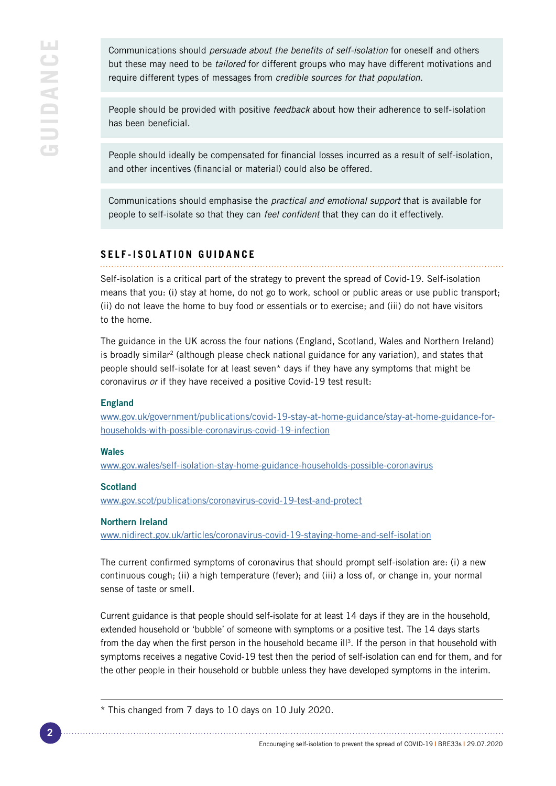Communications should *persuade about the benefits of self-isolation* for oneself and others but these may need to be *tailored* for different groups who may have different motivations and require different types of messages from *credible sources for that population*.

People should be provided with positive *feedback* about how their adherence to self-isolation has been beneficial.

People should ideally be compensated for financial losses incurred as a result of self-isolation, and other incentives (financial or material) could also be offered.

Communications should emphasise the *practical and emotional support* that is available for people to self-isolate so that they can *feel confident* that they can do it effectively.

## **SELF-ISOLATION GUIDANCE**

Self-isolation is a critical part of the strategy to prevent the spread of Covid-19. Self-isolation means that you: (i) stay at home, do not go to work, school or public areas or use public transport; (ii) do not leave the home to buy food or essentials or to exercise; and (iii) do not have visitors to the home.

The guidance in the UK across the four nations (England, Scotland, Wales and Northern Ireland) is broadly similar<sup>2</sup> (although please check national guidance for any variation), and states that people should self-isolate for at least seven\* days if they have any symptoms that might be coronavirus *or* if they have received a positive Covid-19 test result:

#### England

[www.gov.uk/government/publications/covid-19-stay-at-home-guidance/stay-at-home-guidance-for](http://www.gov.uk/government/publications/covid-19-stay-at-home-guidance/stay-at-home-guidance-for-households-with-possible-coronavirus-covid-19-infection)[households-with-possible-coronavirus-covid-19-infection](http://www.gov.uk/government/publications/covid-19-stay-at-home-guidance/stay-at-home-guidance-for-households-with-possible-coronavirus-covid-19-infection)

#### Wales

[www.gov.wales/self-isolation-stay-home-guidance-households-possible-coronavirus](http://www.gov.wales/self-isolation-stay-home-guidance-households-possible-coronavirus)

#### **Scotland**

[www.gov.scot/publications/coronavirus-covid-19-test-and-protect](http://www.gov.scot/publications/coronavirus-covid-19-test-and-protect)

#### Northern Ireland

[www.nidirect.gov.uk/articles/coronavirus-covid-19-staying-home-and-self-isolation](http://www.nidirect.gov.uk/articles/coronavirus-covid-19-staying-home-and-self-isolation)

The current confirmed symptoms of coronavirus that should prompt self-isolation are: (i) a new continuous cough; (ii) a high temperature (fever); and (iii) a loss of, or change in, your normal sense of taste or smell.

Current guidance is that people should self-isolate for at least 14 days if they are in the household, extended household or 'bubble' of someone with symptoms or a positive test. The 14 days starts from the day when the first person in the household became ill<sup>3</sup>. If the person in that household with symptoms receives a negative Covid-19 test then the period of self-isolation can end for them, and for the other people in their household or bubble unless they have developed symptoms in the interim.

<sup>\*</sup> This changed from 7 days to 10 days on 10 July 2020.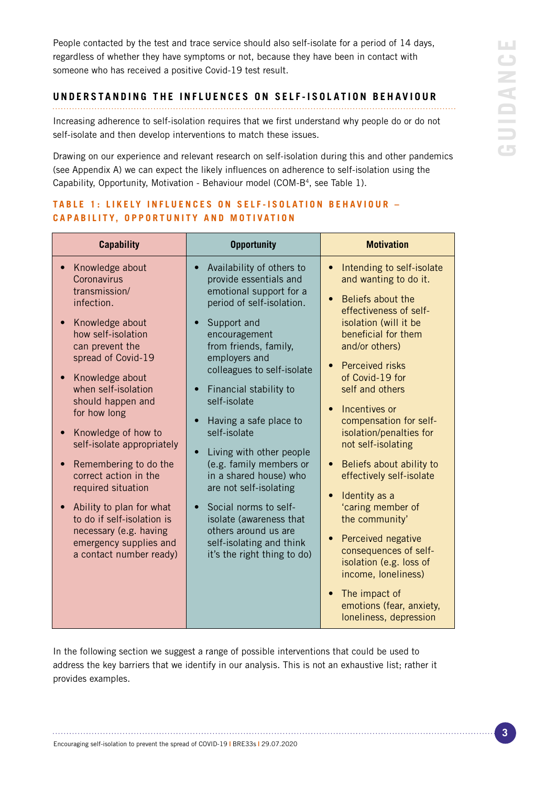People contacted by the test and trace service should also self-isolate for a period of 14 days, regardless of whether they have symptoms or not, because they have been in contact with someone who has received a positive Covid-19 test result.

#### **UNDERSTANDING THE INFLUENCES ON SELF-ISOLATION BEHAVIOUR**

Increasing adherence to self-isolation requires that we first understand why people do or do not self-isolate and then develop interventions to match these issues.

Drawing on our experience and relevant research on self-isolation during this and other pandemics (see Appendix A) we can expect the likely influences on adherence to self-isolation using the Capability, Opportunity, Motivation - Behaviour model (COM-B<sup>4</sup>, see Table 1).

| <b>Capability</b>                                                                                                                                                                                                                                                                                                                                                                                                                                                                                    | <b>Opportunity</b>                                                                                                                                                                                                                                                                                                                                                                                                                                                                                                                                                                  | <b>Motivation</b>                                                                                                                                                                                                                                                                                                                                                                                                                                                                                                                                                                                                                                                                                                               |
|------------------------------------------------------------------------------------------------------------------------------------------------------------------------------------------------------------------------------------------------------------------------------------------------------------------------------------------------------------------------------------------------------------------------------------------------------------------------------------------------------|-------------------------------------------------------------------------------------------------------------------------------------------------------------------------------------------------------------------------------------------------------------------------------------------------------------------------------------------------------------------------------------------------------------------------------------------------------------------------------------------------------------------------------------------------------------------------------------|---------------------------------------------------------------------------------------------------------------------------------------------------------------------------------------------------------------------------------------------------------------------------------------------------------------------------------------------------------------------------------------------------------------------------------------------------------------------------------------------------------------------------------------------------------------------------------------------------------------------------------------------------------------------------------------------------------------------------------|
| Knowledge about<br>Coronavirus<br>transmission/<br>infection.<br>Knowledge about<br>how self-isolation<br>can prevent the<br>spread of Covid-19<br>Knowledge about<br>when self-isolation<br>should happen and<br>for how long<br>Knowledge of how to<br>self-isolate appropriately<br>Remembering to do the<br>correct action in the<br>required situation<br>Ability to plan for what<br>to do if self-isolation is<br>necessary (e.g. having<br>emergency supplies and<br>a contact number ready) | Availability of others to<br>provide essentials and<br>emotional support for a<br>period of self-isolation.<br>Support and<br>encouragement<br>from friends, family,<br>employers and<br>colleagues to self-isolate<br>Financial stability to<br>$\bullet$<br>self-isolate<br>Having a safe place to<br>self-isolate<br>Living with other people<br>(e.g. family members or<br>in a shared house) who<br>are not self-isolating<br>Social norms to self-<br>$\bullet$<br>isolate (awareness that<br>others around us are<br>self-isolating and think<br>it's the right thing to do) | Intending to self-isolate<br>$\bullet$<br>and wanting to do it.<br>Beliefs about the<br>$\bullet$<br>effectiveness of self-<br>isolation (will it be<br>beneficial for them<br>and/or others)<br><b>Perceived risks</b><br>$\bullet$<br>of Covid-19 for<br>self and others<br>Incentives or<br>$\bullet$<br>compensation for self-<br>isolation/penalties for<br>not self-isolating<br>Beliefs about ability to<br>$\bullet$<br>effectively self-isolate<br>Identity as a<br>$\bullet$<br>'caring member of<br>the community'<br>Perceived negative<br>$\bullet$<br>consequences of self-<br>isolation (e.g. loss of<br>income, loneliness)<br>The impact of<br>$\bullet$<br>emotions (fear, anxiety,<br>loneliness, depression |

## **TABLE 1: LIKELY INFLUENCES ON SELF-ISOLATION BEHAVIOUR -CAPABILITY, OPPORTUNITY AND MOTIVATION**

In the following section we suggest a range of possible interventions that could be used to address the key barriers that we identify in our analysis. This is not an exhaustive list; rather it provides examples.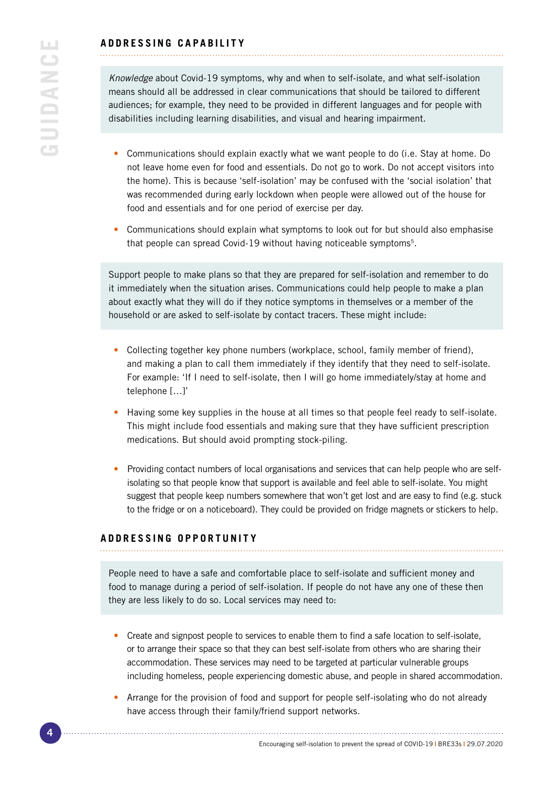*Knowledge* about Covid-19 symptoms, why and when to self-isolate, and what self-isolation means should all be addressed in clear communications that should be tailored to different audiences; for example, they need to be provided in different languages and for people with disabilities including learning disabilities, and visual and hearing impairment.

- Communications should explain exactly what we want people to do (i.e. Stay at home. Do not leave home even for food and essentials. Do not go to work. Do not accept visitors into the home). This is because 'self-isolation' may be confused with the 'social isolation' that was recommended during early lockdown when people were allowed out of the house for food and essentials and for one period of exercise per day.
- Communications should explain what symptoms to look out for but should also emphasise that people can spread Covid-19 without having noticeable symptoms<sup>5</sup>.

Support people to make plans so that they are prepared for self-isolation and remember to do it immediately when the situation arises. Communications could help people to make a plan about exactly what they will do if they notice symptoms in themselves or a member of the household or are asked to self-isolate by contact tracers. These might include:

- Collecting together key phone numbers (workplace, school, family member of friend), and making a plan to call them immediately if they identify that they need to self-isolate. For example: 'If I need to self-isolate, then I will go home immediately/stay at home and telephone […]'
- Having some key supplies in the house at all times so that people feel ready to self-isolate. This might include food essentials and making sure that they have sufficient prescription medications. But should avoid prompting stock-piling.
- Providing contact numbers of local organisations and services that can help people who are selfisolating so that people know that support is available and feel able to self-isolate. You might suggest that people keep numbers somewhere that won't get lost and are easy to find (e.g. stuck to the fridge or on a noticeboard). They could be provided on fridge magnets or stickers to help.

## **ADDRESSING OPPORTUNITY**

People need to have a safe and comfortable place to self-isolate and sufficient money and food to manage during a period of self-isolation. If people do not have any one of these then they are less likely to do so. Local services may need to:

- Create and signpost people to services to enable them to find a safe location to self-isolate, or to arrange their space so that they can best self-isolate from others who are sharing their accommodation. These services may need to be targeted at particular vulnerable groups including homeless, people experiencing domestic abuse, and people in shared accommodation.
- Arrange for the provision of food and support for people self-isolating who do not already have access through their family/friend support networks.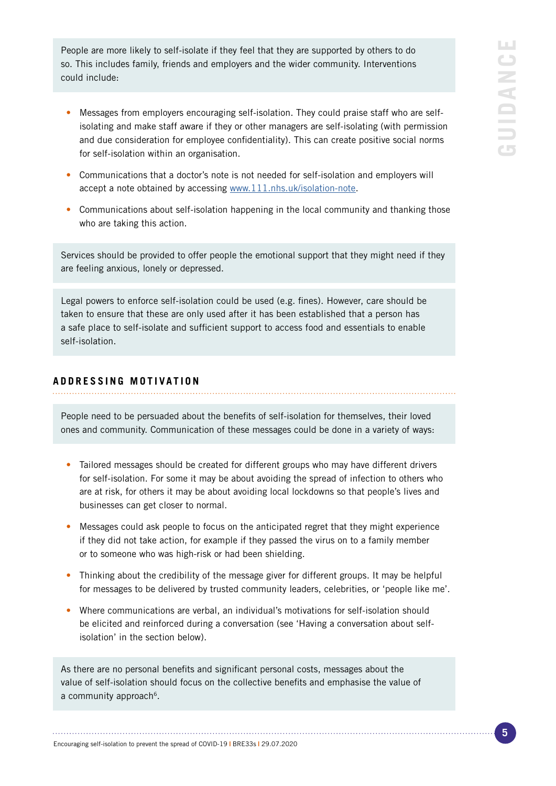People are more likely to self-isolate if they feel that they are supported by others to do so. This includes family, friends and employers and the wider community. Interventions could include:

- Messages from employers encouraging self-isolation. They could praise staff who are selfisolating and make staff aware if they or other managers are self-isolating (with permission and due consideration for employee confidentiality). This can create positive social norms for self-isolation within an organisation.
- Communications that a doctor's note is not needed for self-isolation and employers will accept a note obtained by accessing [www.111.nhs.uk/isolation-note.](http://www.111.nhs.uk/isolation-note)
- Communications about self-isolation happening in the local community and thanking those who are taking this action.

Services should be provided to offer people the emotional support that they might need if they are feeling anxious, lonely or depressed.

Legal powers to enforce self-isolation could be used (e.g. fines). However, care should be taken to ensure that these are only used after it has been established that a person has a safe place to self-isolate and sufficient support to access food and essentials to enable self-isolation.

## **ADDRESSING MOTIVATION**

People need to be persuaded about the benefits of self-isolation for themselves, their loved ones and community. Communication of these messages could be done in a variety of ways:

- Tailored messages should be created for different groups who may have different drivers for self-isolation. For some it may be about avoiding the spread of infection to others who are at risk, for others it may be about avoiding local lockdowns so that people's lives and businesses can get closer to normal.
- Messages could ask people to focus on the anticipated regret that they might experience if they did not take action, for example if they passed the virus on to a family member or to someone who was high-risk or had been shielding.
- Thinking about the credibility of the message giver for different groups. It may be helpful for messages to be delivered by trusted community leaders, celebrities, or 'people like me'.
- Where communications are verbal, an individual's motivations for self-isolation should be elicited and reinforced during a conversation (see 'Having a conversation about selfisolation' in the section below).

As there are no personal benefits and significant personal costs, messages about the value of self-isolation should focus on the collective benefits and emphasise the value of a community approach<sup>6</sup>.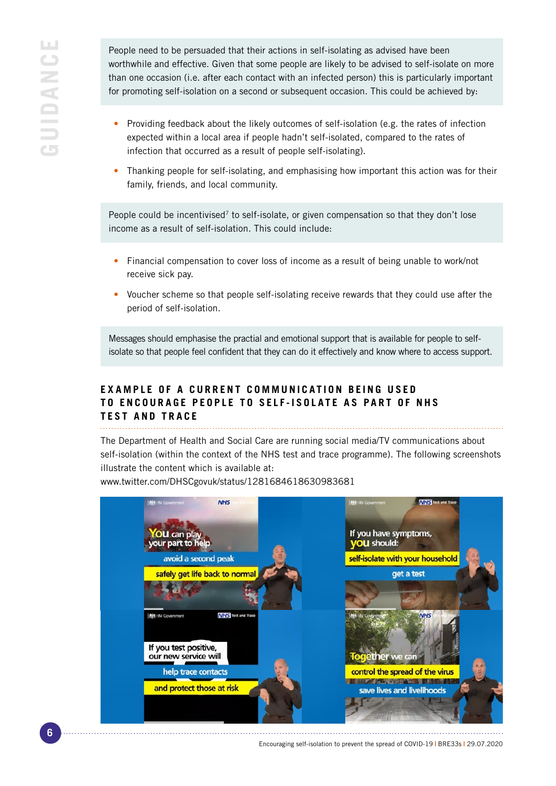People need to be persuaded that their actions in self-isolating as advised have been worthwhile and effective. Given that some people are likely to be advised to self-isolate on more than one occasion (i.e. after each contact with an infected person) this is particularly important for promoting self-isolation on a second or subsequent occasion. This could be achieved by:

- Providing feedback about the likely outcomes of self-isolation (e.g. the rates of infection expected within a local area if people hadn't self-isolated, compared to the rates of infection that occurred as a result of people self-isolating).
- Thanking people for self-isolating, and emphasising how important this action was for their family, friends, and local community.

People could be incentivised<sup>7</sup> to self-isolate, or given compensation so that they don't lose income as a result of self-isolation. This could include:

- Financial compensation to cover loss of income as a result of being unable to work/not receive sick pay.
- Voucher scheme so that people self-isolating receive rewards that they could use after the period of self-isolation.

Messages should emphasise the practial and emotional support that is available for people to selfisolate so that people feel confident that they can do it effectively and know where to access support.

## **EXAMPLE OF A CURRENT COMMUNICATION BEING USED TO ENCOURAGE PEOPLE TO SELF-ISOLATE AS PART OF NHS TEST AND TRACE**

The Department of Health and Social Care are running social media/TV communications about self-isolation (within the context of the NHS test and trace programme). The following screenshots illustrate the content which is available at:

www.twitter.com/DHSCgovuk/status/1281684618630983681



Encouraging self-isolation to prevent the spread of COVID-19 **|** BRE33s **|** 29.07.2020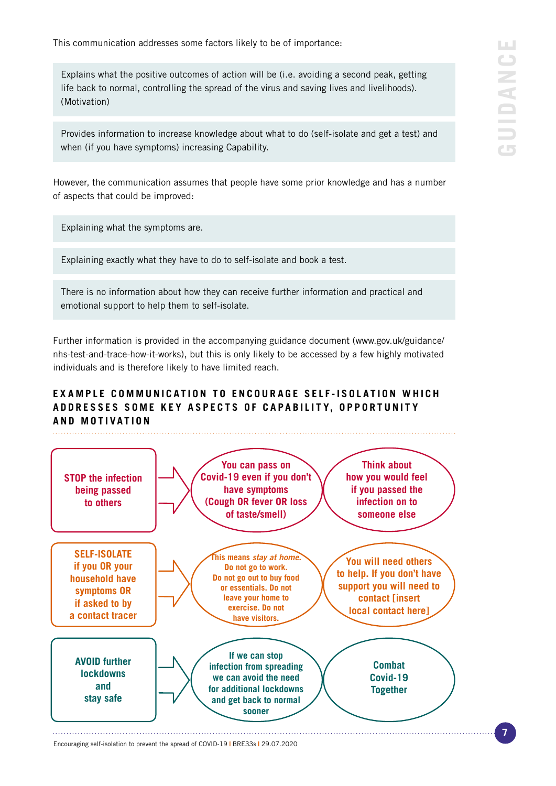This communication addresses some factors likely to be of importance:

Explains what the positive outcomes of action will be (i.e. avoiding a second peak, getting life back to normal, controlling the spread of the virus and saving lives and livelihoods). (Motivation)

Provides information to increase knowledge about what to do (self-isolate and get a test) and when (if you have symptoms) increasing Capability.

However, the communication assumes that people have some prior knowledge and has a number of aspects that could be improved:

Explaining what the symptoms are.

Explaining exactly what they have to do to self-isolate and book a test.

There is no information about how they can receive further information and practical and emotional support to help them to self-isolate.

Further information is provided in the accompanying guidance document (www.gov.uk/guidance/ nhs-test-and-trace-how-it-works), but this is only likely to be accessed by a few highly motivated individuals and is therefore likely to have limited reach.

## **EXAMPLE COMMUNICATION TO ENCOURAGE SELF-ISOLATION WHICH** ADDRESSES SOME KEY ASPECTS OF CAPABILITY, OPPORTUNITY **AND MOTIVATION**



Encouraging self-isolation to prevent the spread of COVID-19 **|** BRE33s **|** 29.07.2020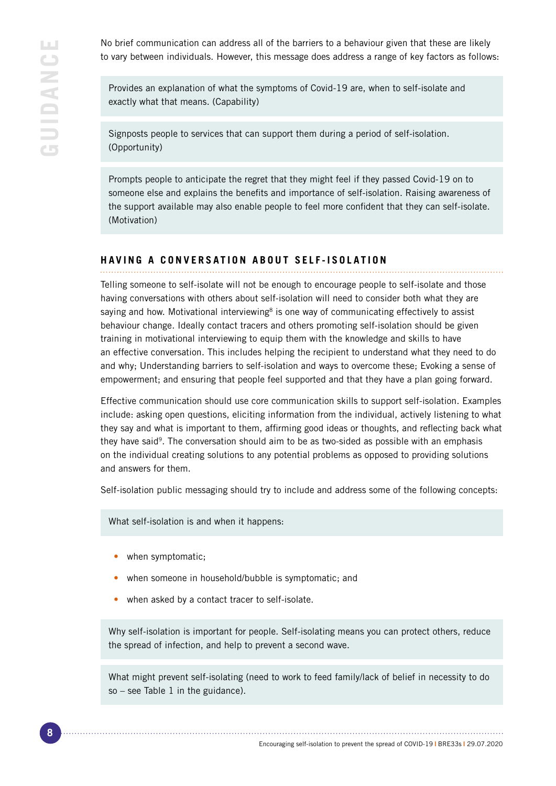No brief communication can address all of the barriers to a behaviour given that these are likely to vary between individuals. However, this message does address a range of key factors as follows:

Provides an explanation of what the symptoms of Covid-19 are, when to self-isolate and exactly what that means. (Capability)

Signposts people to services that can support them during a period of self-isolation. (Opportunity)

Prompts people to anticipate the regret that they might feel if they passed Covid-19 on to someone else and explains the benefits and importance of self-isolation. Raising awareness of the support available may also enable people to feel more confident that they can self-isolate. (Motivation)

## **HAVING A CONVERSATION ABOUT SELF-ISOLATION**

Telling someone to self-isolate will not be enough to encourage people to self-isolate and those having conversations with others about self-isolation will need to consider both what they are saying and how. Motivational interviewing<sup>8</sup> is one way of communicating effectively to assist behaviour change. Ideally contact tracers and others promoting self-isolation should be given training in motivational interviewing to equip them with the knowledge and skills to have an effective conversation. This includes helping the recipient to understand what they need to do and why; Understanding barriers to self-isolation and ways to overcome these; Evoking a sense of empowerment; and ensuring that people feel supported and that they have a plan going forward.

Effective communication should use core communication skills to support self-isolation. Examples include: asking open questions, eliciting information from the individual, actively listening to what they say and what is important to them, affirming good ideas or thoughts, and reflecting back what they have said<sup>9</sup>. The conversation should aim to be as two-sided as possible with an emphasis on the individual creating solutions to any potential problems as opposed to providing solutions and answers for them.

Self-isolation public messaging should try to include and address some of the following concepts:

What self-isolation is and when it happens:

- when symptomatic;
- when someone in household/bubble is symptomatic; and
- when asked by a contact tracer to self-isolate.

Why self-isolation is important for people. Self-isolating means you can protect others, reduce the spread of infection, and help to prevent a second wave.

What might prevent self-isolating (need to work to feed family/lack of belief in necessity to do so – see Table 1 in the guidance).

Encouraging self-isolation to prevent the spread of COVID-19 **|** BRE33s **|** 29.07.2020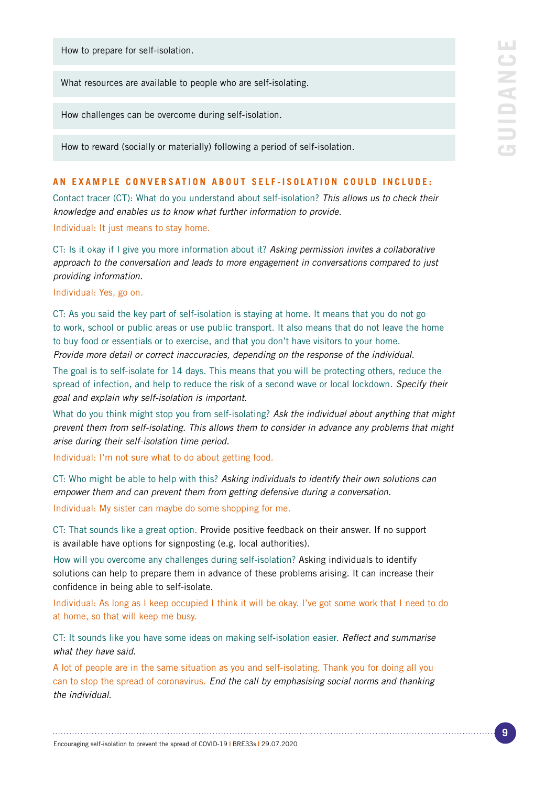How to prepare for self-isolation.

What resources are available to people who are self-isolating.

How challenges can be overcome during self-isolation.

How to reward (socially or materially) following a period of self-isolation.

#### **AN EXAMPLE CONVERSATION ABOUT SELF-ISOLATION COULD INCLUDE:**

Contact tracer (CT): What do you understand about self-isolation? *This allows us to check their knowledge and enables us to know what further information to provide.*

Individual: It just means to stay home.

CT: Is it okay if I give you more information about it? *Asking permission invites a collaborative approach to the conversation and leads to more engagement in conversations compared to just providing information.*

Individual: Yes, go on.

CT: As you said the key part of self-isolation is staying at home. It means that you do not go to work, school or public areas or use public transport. It also means that do not leave the home to buy food or essentials or to exercise, and that you don't have visitors to your home. *Provide more detail or correct inaccuracies, depending on the response of the individual.*

The goal is to self-isolate for 14 days. This means that you will be protecting others, reduce the spread of infection, and help to reduce the risk of a second wave or local lockdown. *Specify their goal and explain why self-isolation is important.*

What do you think might stop you from self-isolating? *Ask the individual about anything that might prevent them from self-isolating. This allows them to consider in advance any problems that might arise during their self-isolation time period.*

Individual: I'm not sure what to do about getting food.

CT: Who might be able to help with this? *Asking individuals to identify their own solutions can empower them and can prevent them from getting defensive during a conversation.* Individual: My sister can maybe do some shopping for me.

CT: That sounds like a great option. Provide positive feedback on their answer. If no support is available have options for signposting (e.g. local authorities).

How will you overcome any challenges during self-isolation? Asking individuals to identify solutions can help to prepare them in advance of these problems arising. It can increase their confidence in being able to self-isolate.

Individual: As long as I keep occupied I think it will be okay. I've got some work that I need to do at home, so that will keep me busy.

CT: It sounds like you have some ideas on making self-isolation easier. *Reflect and summarise what they have said.* 

A lot of people are in the same situation as you and self-isolating. Thank you for doing all you can to stop the spread of coronavirus. *End the call by emphasising social norms and thanking the individual*.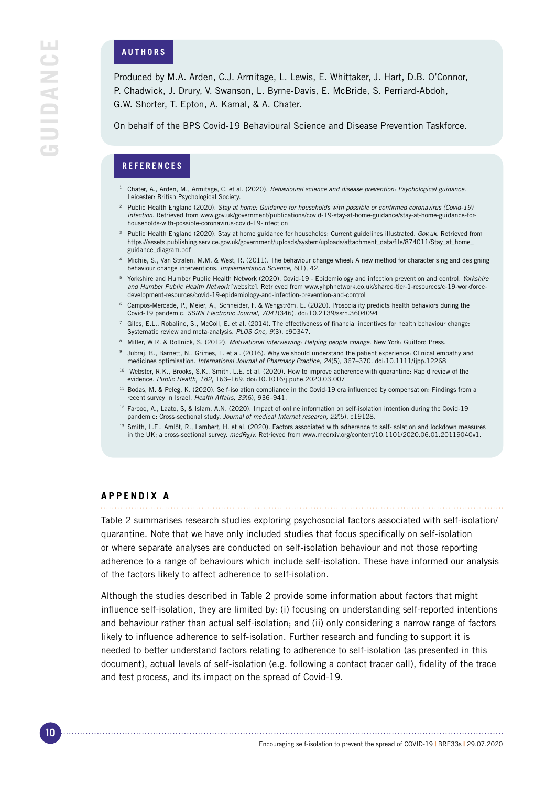#### **AUTHORS**

Produced by M.A. Arden, C.J. Armitage, L. Lewis, E. Whittaker, J. Hart, D.B. O'Connor, P. Chadwick, J. Drury, V. Swanson, L. Byrne-Davis, E. McBride, S. Perriard-Abdoh, G.W. Shorter, T. Epton, A. Kamal, & A. Chater.

On behalf of the BPS Covid-19 Behavioural Science and Disease Prevention Taskforce.

## **REFERENCES**

- <sup>1</sup> Chater, A., Arden, M., Armitage, C. et al. (2020). *Behavioural science and disease prevention: Psychological guidance*. Leicester: British Psychological Society.
- <sup>2</sup> Public Health England (2020). *Stay at home: Guidance for households with possible or confirmed coronavirus (Covid-19) infection*. Retrieved from www.gov.uk/government/publications/covid-19-stay-at-home-guidance/stay-at-home-guidance-forhouseholds-with-possible-coronavirus-covid-19-infection
- <sup>3</sup> Public Health England (2020). Stay at home guidance for households: Current guidelines illustrated. *Gov.uk*. Retrieved from https://assets.publishing.service.gov.uk/government/uploads/system/uploads/attachment\_data/file/874011/Stay\_at\_home\_ guidance\_diagram.pdf
- <sup>4</sup> Michie, S., Van Stralen, M.M. & West, R. (2011). The behaviour change wheel: A new method for characterising and designing behaviour change interventions. *Implementation Science, 6*(1), 42.
- <sup>5</sup> Yorkshire and Humber Public Health Network (2020). Covid-19 Epidemiology and infection prevention and control. *Yorkshire and Humber Public Health Network* [website]. Retrieved from www.yhphnetwork.co.uk/shared-tier-1-resources/c-19-workforcedevelopment-resources/covid-19-epidemiology-and-infection-prevention-and-control
- <sup>6</sup> Campos-Mercade, P., Meier, A., Schneider, F. & Wengström, E. (2020). Prosociality predicts health behaviors during the Covid-19 pandemic. *SSRN Electronic Journal, 7041*(346). doi:10.2139/ssrn.3604094
- <sup>7</sup> Giles, E.L., Robalino, S., McColl, E. et al. (2014). The effectiveness of financial incentives for health behaviour change: Systematic review and meta-analysis. *PLOS One, 9*(3), e90347.
- <sup>8</sup> Miller, W R. & Rollnick, S. (2012). *Motivational interviewing: Helping people change*. New York: Guilford Press.
- 9 Jubraj, B., Barnett, N., Grimes, L. et al. (2016). Why we should understand the patient experience: Clinical empathy and medicines optimisation. *International Journal of Pharmacy Practice, 24*(5), 367–370. doi:10.1111/ijpp.12268
- <sup>10</sup> Webster, R.K., Brooks, S.K., Smith, L.E. et al. (2020). How to improve adherence with quarantine: Rapid review of the evidence. *Public Health, 182*, 163–169. doi:10.1016/j.puhe.2020.03.007
- <sup>11</sup> Bodas, M. & Peleg, K. (2020). Self-isolation compliance in the Covid-19 era influenced by compensation: Findings from a recent survey in Israel. *Health Affairs, 39*(6), 936–941.
- <sup>12</sup> Farooq, A., Laato, S, & Islam, A.N. (2020). Impact of online information on self-isolation intention during the Covid-19 pandemic: Cross-sectional study. *Journal of medical Internet research, 22*(5), e19128.
- 13 Smith, L.E., Amlôt, R., Lambert, H. et al. (2020). Factors associated with adherence to self-isolation and lockdown measures in the UK; a cross-sectional survey. *medR*<sub>X</sub>iv. Retrieved from www.medrxiv.org/content/10.1101/2020.06.01.20119040v1.

### **APPENDIX A**

Table 2 summarises research studies exploring psychosocial factors associated with self-isolation/ quarantine. Note that we have only included studies that focus specifically on self-isolation or where separate analyses are conducted on self-isolation behaviour and not those reporting adherence to a range of behaviours which include self-isolation. These have informed our analysis of the factors likely to affect adherence to self-isolation.

Although the studies described in Table 2 provide some information about factors that might influence self-isolation, they are limited by: (i) focusing on understanding self-reported intentions and behaviour rather than actual self-isolation; and (ii) only considering a narrow range of factors likely to influence adherence to self-isolation. Further research and funding to support it is needed to better understand factors relating to adherence to self-isolation (as presented in this document), actual levels of self-isolation (e.g. following a contact tracer call), fidelity of the trace and test process, and its impact on the spread of Covid-19.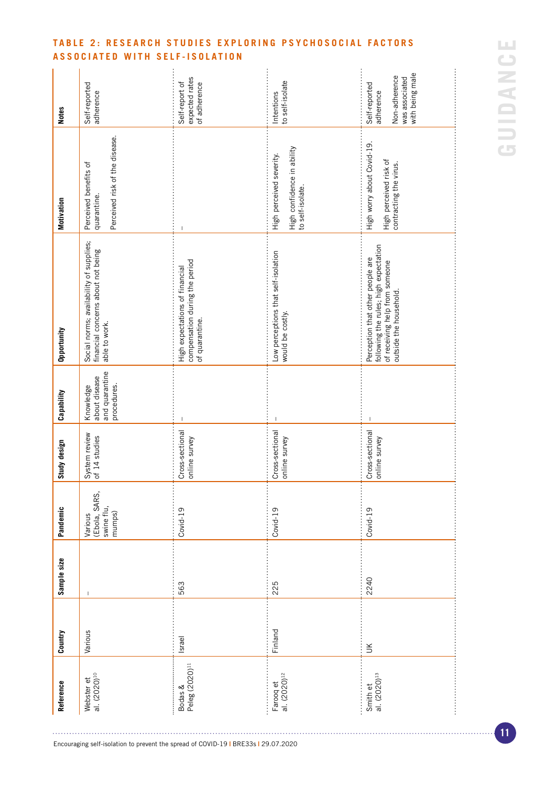| Reference                              | Country       | Sample size | Pandemic                                         | Study design                     | Capability                                                  | Opportunity                                                                                                                           | Motivation                                                                     | <b>Notes</b>                                                                     |
|----------------------------------------|---------------|-------------|--------------------------------------------------|----------------------------------|-------------------------------------------------------------|---------------------------------------------------------------------------------------------------------------------------------------|--------------------------------------------------------------------------------|----------------------------------------------------------------------------------|
| Webster et<br>al. (2020) <sup>10</sup> | Various       |             | (Ebola, SARS,<br>swine flu,<br>mumps)<br>Various | System review<br>of 14 studies   | and quarantine<br>about disease<br>procedures.<br>Knowledge | Social norms; availability of supplies;<br>financial concerns about not being<br>able to work.                                        | Perceived risk of the disease.<br>Perceived benefits of<br>quarantine.         | Self-reported<br>adherence                                                       |
| Bodas &<br>Peleg (2020) <sup>11</sup>  | <b>Israel</b> | 563         | Covid-19                                         | Cross-sectional<br>online survey |                                                             | compensation during the period<br>High expectations of financial<br>of quarantine.                                                    |                                                                                | expected rates<br>Self-report of<br>of adherence                                 |
| Farooq et<br>al. (2020) <sup>12</sup>  | Finland       | 225         | Covid-19                                         | Cross-sectional<br>online survey | $\overline{1}$                                              | Low perceptions that self-isolation<br>would be costly.                                                                               | High confidence in ability<br>to self-isolate.<br>High perceived severity.     | to self-isolate<br>Intentions                                                    |
| Smith et<br>al. (2020) <sup>13</sup>   | ŬК            | 2240        | Covid-19                                         | Cross-sectional<br>online survey |                                                             | following the rules; high expectation<br>Perception that other people are<br>of receiving help from someone<br>outside the household. | High worry about Covid-19.<br>High perceived risk of<br>contracting the virus. | with being male<br>Non-adherence<br>was associated<br>Self-reported<br>adherence |

## **TABLE 2: RESEARCH STUDIES EXPLORING PSYCHOSOCIAL FACTORS ASSOCIATED WITH SELF-ISOLATION**